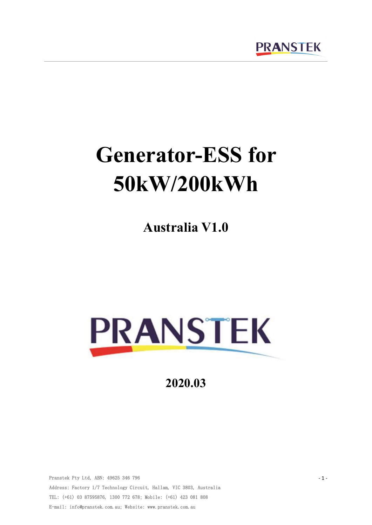

# **Generator-ESS for 50kW/200kWh**

**Australia V1.0**



**2020.03**

Pranstek Pty Ltd, ABN: 49625 346 796 Address: Factory 1/7 Technology Circuit, Hallam, VIC 3803, Australia TEL: (+61) 03 87595876, 1300 772 678; Mobile: (+61) 423 081 808 E-mail: info@pranstek.com.au; Website: www.pranstek.com.au

- 1 -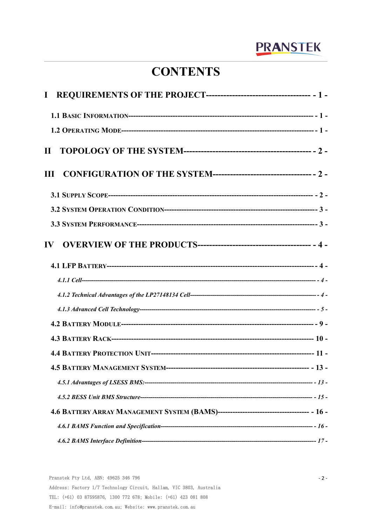# **CONTENTS**

| $\mathbf{I}$ |  |
|--------------|--|
|              |  |
|              |  |
| $\mathbf{H}$ |  |
|              |  |
|              |  |
|              |  |
|              |  |
| $\bf{IV}$    |  |
|              |  |
|              |  |
|              |  |
|              |  |
|              |  |
|              |  |
|              |  |
|              |  |
|              |  |
|              |  |
|              |  |
|              |  |
|              |  |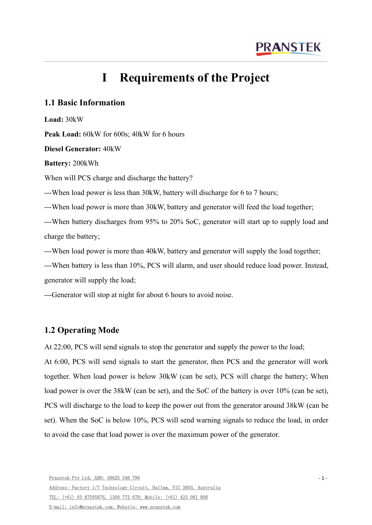# <span id="page-3-0"></span>**I Requirements** of the **Project**

# <span id="page-3-1"></span>**1.1 Basic Information**

**Load:** 30kW

**Peak Load:** 60kW for 600s; 40kW for 6 hours

**Diesel Generator:** 40kW

**Battery:** 200kWh

When will PCS charge and discharge the battery?

---When load power is less than 30kW, battery will discharge for 6 to 7 hours;

---When load power is more than 30kW, battery and generator will feed the load together;

---When battery discharges from 95% to 20% SoC, generator will start up to supply load and charge the battery;

---When load power is more than 40kW, battery and generator will supply the load together;

---When battery is less than 10%, PCS will alarm, and user should reduce load power. Instead, generator will supply the load;

---Generator will stop at night for about 6 hours to avoid noise.

# <span id="page-3-2"></span>**1.2 Operating Mode**

At 22:00, PCS will send signals to stop the generator and supply the power to the load;

At 6:00, PCS will send signals to start the generator, then PCS and the generator will work together. When load power is below 30kW (can be set), PCS will charge the battery; When load power is over the 38kW (can be set), and the SoC of the battery is over 10% (can be set), PCS will discharge to the load to keep the power out from the generator around 38kW (can be set). When the SoC is below 10%, PCS will send warning signals to reduce the load, in order to avoid the case that load power is over the maximum power of the generator.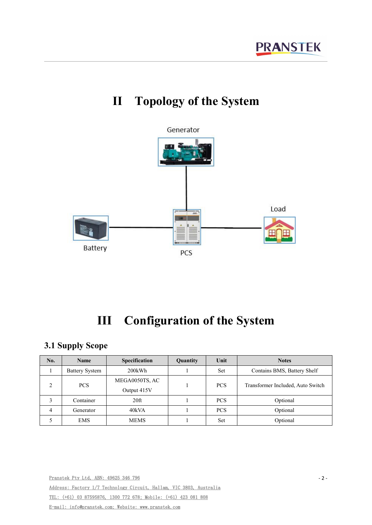

# <span id="page-4-0"></span>**II Topology of the System**

# <span id="page-4-1"></span>**III Configuration of the System**

# <span id="page-4-2"></span>**3.1 Supply Scope**

| No. | Name                  | <b>Specification</b> | <b>Quantity</b> | Unit       | <b>Notes</b>                      |  |
|-----|-----------------------|----------------------|-----------------|------------|-----------------------------------|--|
|     | <b>Battery System</b> | 200kWh               |                 | Set        | Contains BMS, Battery Shelf       |  |
|     | PCS                   | MEGA0050TS, AC       |                 | <b>PCS</b> | Transformer Included, Auto Switch |  |
| ∠   |                       | Output 415V          |                 |            |                                   |  |
| 3   | Container             | 20 <sup>ft</sup>     |                 | <b>PCS</b> | Optional                          |  |
| 4   | Generator             | 40kVA                |                 | <b>PCS</b> | Optional                          |  |
|     | <b>EMS</b>            | <b>MEMS</b>          |                 | Set        | Optional                          |  |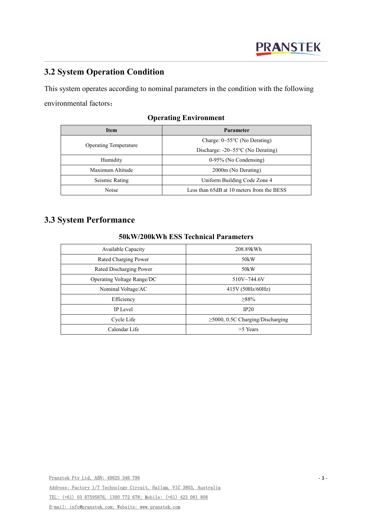# <span id="page-5-0"></span>**3.2 System Operation Condition**

This system operates according to nominal parameters in the condition with the following environmental factors:

| <b>Item</b>                  | <b>Parameter</b>                                 |  |  |
|------------------------------|--------------------------------------------------|--|--|
|                              | Charge: $0 \sim 55^{\circ}$ C (No Derating)      |  |  |
| <b>Operating Temperature</b> | Discharge: $-20 \sim 55^{\circ}$ C (No Derating) |  |  |
| Humidity                     | $0-95\%$ (No Condensing)                         |  |  |
| Maximum Altitude             | 2000m (No Derating)                              |  |  |
| Seismic Rating               | Uniform Building Code Zone 4                     |  |  |
| Noise                        | Less than 65dB at 10 meters from the BESS        |  |  |

# **Operating Environment**

# <span id="page-5-1"></span>**3.3 System Performance**

#### **50kW/200kWh ESS Technical Parameters**

| Available Capacity         | 208.89kWh                              |
|----------------------------|----------------------------------------|
| Rated Charging Power       | 50 <sub>k</sub> W                      |
| Rated Discharging Power    | 50 <sub>k</sub> W                      |
| Operating Voltage Range/DC | $510V - 744.6V$                        |
| Nominal Voltage/AC         | 415V (50Hz/60Hz)                       |
| Efficiency                 | $>88\%$                                |
| IP Level                   | IP20                                   |
| Cycle Life                 | $\geq$ 5000, 0.5C Charging/Discharging |
| Calendar Life              | $>5$ Years                             |

Address: Factory 1/7 Technology Circuit, Hallam, VIC 3803, Australia

TEL: (+61) 03 87595876, 1300 772 678; Mobile: (+61) 423 081 808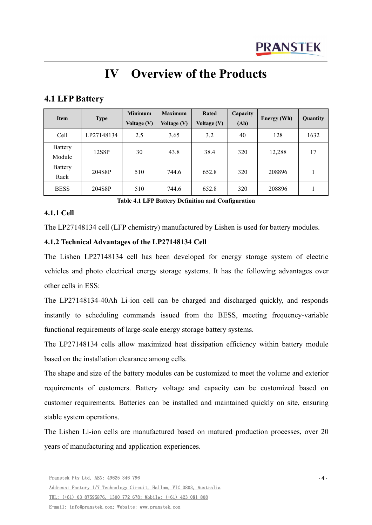# <span id="page-6-0"></span>**IV Overview of the Products**

# <span id="page-6-1"></span>**4.1 LFP Battery**

| Item                     | <b>Type</b> | <b>Minimum</b><br>Voltage (V) | <b>Maximum</b><br><b>Voltage (V)</b> | Rated<br><b>Voltage (V)</b> | Capacity<br>(Ah) | Energy (Wh) | <b>Quantity</b> |
|--------------------------|-------------|-------------------------------|--------------------------------------|-----------------------------|------------------|-------------|-----------------|
| Cell                     | LP27148134  | 2.5                           | 3.65                                 | 3.2                         | 40               | 128         | 1632            |
| <b>Battery</b><br>Module | 12S8P       | 30                            | 43.8                                 | 38.4                        | 320              | 12,288      | 17              |
| Battery<br>Rack          | 204S8P      | 510                           | 744.6                                | 652.8                       | 320              | 208896      |                 |
| <b>BESS</b>              | 204S8P      | 510                           | 744.6                                | 652.8                       | 320              | 208896      |                 |

**Table 4.1 LFP Battery Definition and Configuration**

### <span id="page-6-2"></span>**4.1.1 Cell**

The LP27148134 cell (LFP chemistry) manufactured by Lishen is used for battery modules.

# <span id="page-6-3"></span>**4.1.2 Technical Advantages ofthe LP27148134 Cell**

The Lishen LP27148134 cell has been developed for energy storage system of electric vehicles and photo electrical energy storage systems. It has the following advantages over other cells in ESS:

The LP27148134-40Ah Li-ion cell can be charged and discharged quickly, and responds instantly to scheduling commands issued from the BESS, meeting frequency-variable functional requirements of large-scale energy storage battery systems.

The LP27148134 cells allow maximized heat dissipation efficiency within battery module based on the installation clearance among cells.

The shape and size of the battery modules can be customized to meet the volume and exterior requirements of customers. Battery voltage and capacity can be customized based on customer requirements. Batteries can be installed and maintained quickly on site, ensuring stable system operations.

The Lishen Li-ion cells are manufactured based on matured production processes, over 20 years of manufacturing and application experiences.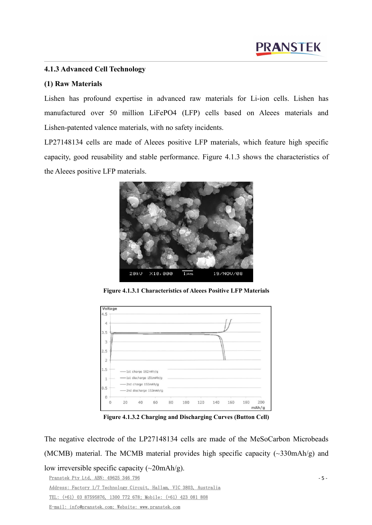# <span id="page-7-0"></span>**4.1.3 Advanced Cell Technology**

#### **(1) Raw Materials**

Lishen has profound expertise in advanced raw materials for Li-ion cells. Lishen has manufactured over 50 million LiFePO4 (LFP) cells based on Aleees materials and Lishen-patented valence materials, with no safety incidents.

LP27148134 cells are made of Aleees positive LFP materials, which feature high specific capacity, good reusability and stable performance. Figure 4.1.3 shows the characteristics of the Aleees positive LFP materials.



**Figure 4.1.3.1 Characteristics of Aleees Positive LFP Materials**



**Figure 4.1.3.2 Charging and Discharging Curves (Button Cell)**

Pranstek Pty Ltd, ABN: 49625 346 796 Address: Factory 1/7 Technology Circuit, Hallam, VIC 3803, Australia TEL: (+61) 03 87595876, 1300 772 678; Mobile: (+61) 423 081 808 - 5 - The negative electrode of the LP27148134 cells are made of the MeSoCarbon Microbeads (MCMB) material. The MCMB material provides high specific capacity (~330mAh/g) and low irreversible specific capacity (~20mAh/g).

E-mail: info@pranstek.com; Website: www.pranstek.com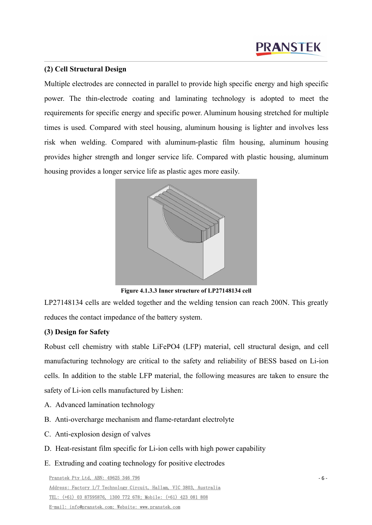### **(2) Cell Structural Design**

Multiple electrodes are connected in parallel to provide high specific energy and high specific power. The thin-electrode coating and laminating technology is adopted to meet the requirements for specific energy and specific power. Aluminum housing stretched for multiple times is used. Compared with steel housing, aluminum housing is lighter and involves less risk when welding. Compared with aluminum-plastic film housing, aluminum housing provides higher strength and longer service life. Compared with plastic housing, aluminum housing provides a longer service life as plastic ages more easily.



**Figure 4.1.3.3 Inner structure of LP27148134 cell**

LP27148134 cells are welded together and the welding tension can reach 200N. This greatly reduces the contactimpedance of the battery system.

# **(3) Design for Safety**

Robust cell chemistry with stable LiFePO4 (LFP) material, cell structural design, and cell manufacturing technology are critical to the safety and reliability of BESS based on Li-ion cells. In addition to the stable LFP material, the following measures are taken to ensure the safety of Li-ion cells manufactured by Lishen:

- A. Advanced lamination technology
- B. Anti-overcharge mechanism and flame-retardant electrolyte
- C. Anti-explosion design of valves
- D. Heat-resistant film specific for Li-ion cellswith high power capability
- E. Extruding and coating technology for positive electrodes

Pranstek Pty Ltd, ABN: 49625 346 796 Address: Factory 1/7 Technology Circuit, Hallam, VIC 3803, Australia TEL: (+61) 03 87595876, 1300 772 678; Mobile: (+61) 423 081 808 E-mail: info@pranstek.com; Website: www.pranstek.com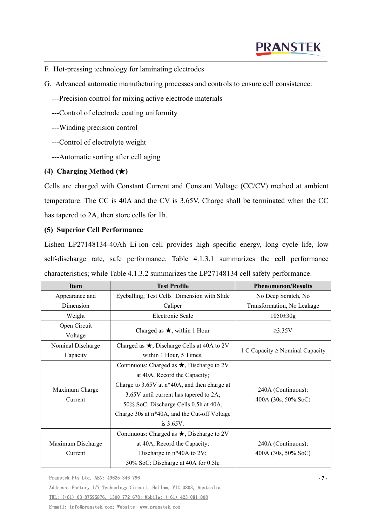- F. Hot-pressing technology for laminating electrodes
- G. Advanced automatic manufacturing processes and controls to ensure cell consistence:
	- ---Precision control for mixing active electrode materials
	- ---Control of electrode coating uniformity
	- ---Winding precision control
	- ---Control of electrolyte weight
	- ---Automatic sorting after cell aging

#### **(4) Charging Method (**★**)**

Cells are charged with Constant Current and Constant Voltage (CC/CV) method at ambient temperature. The CC is 40A and the CV is 3.65V. Charge shall be terminated when the CC has tapered to 2A, then store cells for 1h.

### **(5) Superior Cell Performance**

Lishen LP27148134-40Ah Li-ion cell provides high specific energy, long cycle life, low self-discharge rate, safe performance. Table 4.1.3.1 summarizes the cell performance characteristics; while Table 4.1.3.2 summarizes the LP27148134 cell safety performance.

| <b>Item</b>       | <b>Test Profile</b>                               | <b>Phenomenon/Results</b>                 |  |
|-------------------|---------------------------------------------------|-------------------------------------------|--|
| Appearance and    | Eyeballing; Test Cells' Dimension with Slide      | No Deep Scratch, No                       |  |
| Dimension         | Caliper                                           | Transformation, No Leakage                |  |
| Weight            | Electronic Scale                                  | $1050 \pm 30g$                            |  |
| Open Circuit      | Charged as $\star$ , within 1 Hour                |                                           |  |
| Voltage           |                                                   | $\geq$ 3.35V                              |  |
| Nominal Discharge | Charged as $\star$ , Discharge Cells at 40A to 2V |                                           |  |
| Capacity          | within 1 Hour, 5 Times,                           | 1 C Capacity $\geq$ Nominal Capacity      |  |
|                   | Continuous: Charged as $\star$ , Discharge to 2V  |                                           |  |
|                   | at 40A, Record the Capacity;                      |                                           |  |
| Maximum Charge    | Charge to 3.65V at n*40A, and then charge at      | 240A (Continuous);<br>400A (30s, 50% SoC) |  |
| Current           | 3.65V until current has tapered to 2A;            |                                           |  |
|                   | 50% SoC: Discharge Cells 0.5h at 40A,             |                                           |  |
|                   | Charge 30s at n*40A, and the Cut-off Voltage      |                                           |  |
|                   | is $3.65V$ .                                      |                                           |  |
|                   | Continuous: Charged as $\star$ , Discharge to 2V  |                                           |  |
| Maximum Discharge | at 40A, Record the Capacity;                      | 240A (Continuous);                        |  |
| Current           | Discharge in n*40A to 2V;                         | 400A (30s, 50% SoC)                       |  |
|                   | 50% SoC: Discharge at 40A for 0.5h;               |                                           |  |

Pranstek Pty Ltd, ABN: 49625 346 796

Address: Factory 1/7 Technology Circuit, Hallam, VIC 3803, Australia TEL: (+61) 03 87595876, 1300 772 678; Mobile: (+61) 423 081 808 E-mail: info@pranstek.com; Website: www.pranstek.com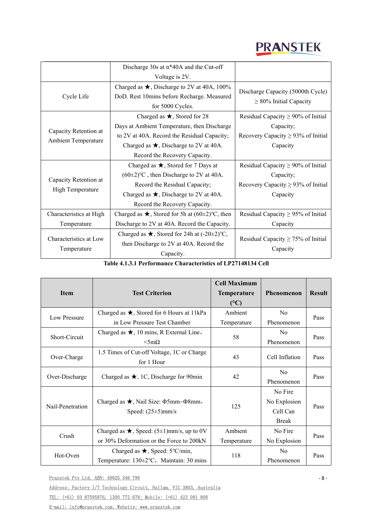|                                       | Discharge 30s at n*40A and the Cut-off                                                                    |                                                                  |
|---------------------------------------|-----------------------------------------------------------------------------------------------------------|------------------------------------------------------------------|
|                                       | Voltage is 2V.                                                                                            |                                                                  |
| Cycle Life                            | Charged as $\star$ , Discharge to 2V at 40A, 100%<br>DoD. Rest 10mins before Recharge. Measured           | Discharge Capacity (5000th Cycle)<br>$\geq$ 80% Initial Capacity |
|                                       | for 5000 Cycles.                                                                                          |                                                                  |
|                                       | Charged as $\star$ , Stored for 28                                                                        | Residual Capacity $\geq$ 90% of Initial                          |
| Capacity Retention at                 | Days at Ambient Temperature, then Discharge                                                               | Capacity;                                                        |
| <b>Ambient Temperature</b>            | to 2V at 40A. Record the Residual Capacity;                                                               | Recovery Capacity $\geq$ 93% of Initial                          |
|                                       | Charged as $\star$ , Discharge to 2V at 40A.                                                              | Capacity                                                         |
|                                       | Record the Recovery Capacity.                                                                             |                                                                  |
|                                       | Charged as $\star$ , Stored for 7 Days at                                                                 | Residual Capacity $\geq 90\%$ of Initial                         |
|                                       | $(60\pm2)$ °C, then Discharge to 2V at 40A.                                                               | Capacity;                                                        |
| Capacity Retention at                 | Record the Residual Capacity;                                                                             | Recovery Capacity $\geq$ 93% of Initial                          |
| <b>High Temperature</b>               | Charged as $\star$ , Discharge to 2V at 40A.                                                              | Capacity                                                         |
|                                       | Record the Recovery Capacity.                                                                             |                                                                  |
| Characteristics at High               | Charged as $\star$ , Stored for 5h at (60±2)°C, then                                                      | Residual Capacity $\geq$ 95% of Initial                          |
| Temperature                           | Discharge to 2V at 40A. Record the Capacity.                                                              | Capacity                                                         |
| Characteristics at Low<br>Temperature | Charged as $\star$ , Stored for 24h at (-20±2)°C,<br>then Discharge to 2V at 40A. Record the<br>Capacity. | Residual Capacity $\geq$ 75% of Initial<br>Capacity              |

**Table 4.1.3.1 Performance Characteristics ofLP27148134 Cell**

| <b>Item</b>      | <b>Test Criterion</b>                                                                       | <b>Cell Maximum</b><br><b>Temperature</b><br>(C) | Phenomenon                                          | <b>Result</b> |
|------------------|---------------------------------------------------------------------------------------------|--------------------------------------------------|-----------------------------------------------------|---------------|
| Low Pressure     | Charged as $\star$ , Stored for 6 Hours at 11kPa<br>in Low Pressure Test Chamber            | Ambient<br>Temperature                           | N <sub>0</sub><br>Phenomenon                        | Pass          |
| Short-Circuit    | Charged as $\star$ , 10 mins, R External Line,<br>$\langle 5m\Omega \rangle$                | 58                                               | N <sub>o</sub><br>Phenomenon                        | Pass          |
| Over-Charge      | 1.5 Times of Cut-off Voltage, 1C or Charge<br>for 1 Hour                                    | 43                                               | Cell Inflation                                      | Pass          |
| Over-Discharge   | Charged as $\star$ , 1C, Discharge for 90min                                                | 42                                               | No<br>Phenomenon                                    | Pass          |
| Nail-Penetration | Charged as $\star$ , Nail Size: $\Phi$ 5mm~ $\Phi$ 8mm,<br>Speed: $(25\pm5)$ mm/s           | 125                                              | No Fire<br>No Explosion<br>Cell Can<br><b>Break</b> | Pass          |
| Crush            | Charged as $\star$ , Speed: (5±1)mm/s, up to 0V<br>or 30% Deformation or the Force to 200kN | Ambient<br>Temperature                           | No Fire<br>No Explosion                             | Pass          |
| Hot-Oven         | Charged as $\star$ , Speed: 5°C/min,<br>Temperature: $130 \pm 2$ °C, Maintain: 30 mins      | 118                                              | N <sub>o</sub><br>Phenomenon                        | Pass          |

Pranstek Pty Ltd, ABN: 49625 346 796

Address: Factory 1/7 Technology Circuit, Hallam, VIC 3803, Australia TEL: (+61) 03 87595876, 1300 772 678; Mobile: (+61) 423 081 808

E-mail: info@pranstek.com; Website: www.pranstek.com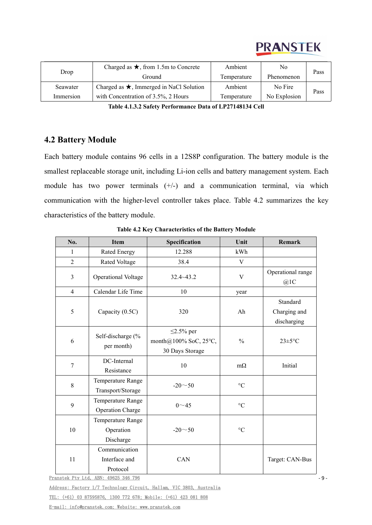| Drop      | Charged as $\star$ , from 1.5m to Concrete     | Ambient     | No           | Pass |  |
|-----------|------------------------------------------------|-------------|--------------|------|--|
|           | Ground                                         | Temperature | Phenomenon   |      |  |
| Seawater  | Charged as $\star$ , Immerged in NaCl Solution | Ambient     | No Fire      | Pass |  |
| Immersion | with Concentration of 3.5%, 2 Hours            | Temperature | No Explosion |      |  |

**Table 4.1.3.2 Safety Performance Data of LP27148134 Cell**

# <span id="page-11-0"></span>**4.2 Battery Module**

Each battery module contains 96 cells in a 12S8P configuration. The battery module is the smallest replaceable storage unit, including Li-ion cells and battery management system. Each module has two power terminals (+/-) and a communication terminal, via which communication with the higher-level controller takes place. Table 4.2 summarizes the key characteristics of the battery module.

| No.            | <b>Item</b>                                  | Specification                                               | Unit              | Remark                                  |
|----------------|----------------------------------------------|-------------------------------------------------------------|-------------------|-----------------------------------------|
| 1              | Rated Energy                                 | 12.288                                                      | kWh               |                                         |
| $\overline{2}$ | Rated Voltage                                | 38.4                                                        | V                 |                                         |
| $\overline{3}$ | <b>Operational Voltage</b>                   | $32.4 - 43.2$                                               | $\mathbf V$       | Operational range<br>@1C                |
| $\overline{4}$ | Calendar Life Time                           | 10                                                          | year              |                                         |
| 5              | Capacity (0.5C)                              | 320                                                         | Ah                | Standard<br>Charging and<br>discharging |
| 6              | Self-discharge (%<br>per month)              | $\leq$ 2.5% per<br>month@100% SoC, 25°C,<br>30 Days Storage | $\frac{0}{0}$     | $23 \pm 5$ °C                           |
| $\overline{7}$ | DC-Internal<br>Resistance                    | 10                                                          | $m\Omega$         | Initial                                 |
| $8\,$          | Temperature Range<br>Transport/Storage       | $-20 - 50$                                                  | $\rm ^{\circ}C$   |                                         |
| 9              | Temperature Range<br><b>Operation Charge</b> | $0 - 45$                                                    | $^{\circ}C$       |                                         |
| 10             | Temperature Range<br>Operation<br>Discharge  | $-20 - 50$                                                  | $^\circ \text{C}$ |                                         |
| 11             | Communication<br>Interface and<br>Protocol   | CAN                                                         |                   | Target: CAN-Bus                         |

**Table 4.2 Key Characteristics of the Battery Module** 

Pranstek Pty Ltd, ABN: 49625 346 796

Address: Factory 1/7 Technology Circuit, Hallam, VIC 3803, Australia

TEL: (+61) 03 87595876, 1300 772 678; Mobile: (+61) 423 081 808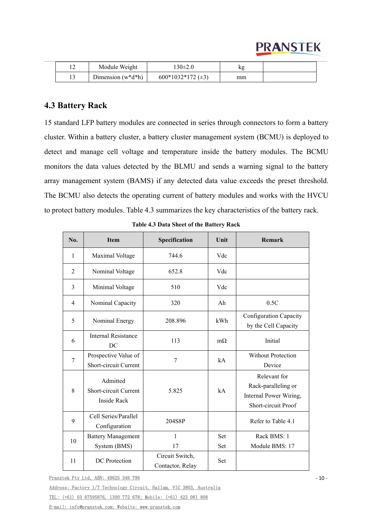|  | Module Weight         | $30\pm2.0$   | n g |  |
|--|-----------------------|--------------|-----|--|
|  | Dimension $(w^*d^*h)$ | 600*1032*172 | mm  |  |

# <span id="page-12-0"></span>**4.3 Battery Rack**

15 standard LFP battery modules are connected in series through connectors to form a battery cluster. Within a battery cluster, a battery cluster management system (BCMU) is deployed to detect and manage cell voltage and temperature inside the battery modules. The BCMU monitors the data values detected by the BLMU and sends a warning signal to the battery array management system (BAMS) if any detected data value exceeds the preset threshold. The BCMU also detects the operating current of battery modules and works with the HVCU to protect battery modules. Table 4.3 summarizes the key characteristics of the battery rack.

| No.            | <b>Item</b>                                             | Specification                       | Unit       | Remark                                                                               |
|----------------|---------------------------------------------------------|-------------------------------------|------------|--------------------------------------------------------------------------------------|
| $\mathbf{1}$   | Maximal Voltage                                         | 744.6                               | Vdc        |                                                                                      |
| 2              | Nominal Voltage                                         | 652.8                               | Vdc        |                                                                                      |
| $\overline{3}$ | Minimal Voltage                                         | 510                                 | Vdc        |                                                                                      |
| $\overline{4}$ | Nominal Capacity                                        | 320                                 | Ah         | 0.5C                                                                                 |
| 5              | Nominal Energy                                          | 208.896                             | kWh        | Configuration Capacity<br>by the Cell Capacity                                       |
| 6              | <b>Internal Resistance</b><br>DC                        | 113                                 | $m\Omega$  | Initial                                                                              |
| $\overline{7}$ | Prospective Value of<br>Short-circuit Current           | 7                                   | kA         | Without Protection<br>Device                                                         |
| 8              | Admitted<br>Short-circuit Current<br><b>Inside Rack</b> | 5.825                               | kA         | Relevant for<br>Rack-paralleling or<br>Internal Power Wiring,<br>Short-circuit Proof |
| 9              | Cell Series/Parallel<br>Configuration                   | 204S8P                              |            | Refer to Table 4.1                                                                   |
| 10             | <b>Battery Management</b><br>System (BMS)               | 1<br>17                             | Set<br>Set | Rack BMS: 1<br>Module BMS: 17                                                        |
| 11             | DC Protection                                           | Circuit Switch,<br>Contactor, Relay | Set        |                                                                                      |

| Table 4.3 Data Sheet of the Battery Rack |
|------------------------------------------|
|------------------------------------------|

Pranstek Pty Ltd, ABN: 49625 346 796

Address: Factory 1/7 Technology Circuit, Hallam, VIC 3803, Australia

TEL: (+61) 03 87595876, 1300 772 678; Mobile: (+61) 423 081 808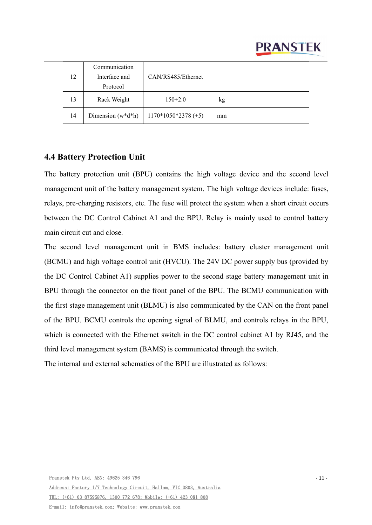| 12 | Communication<br>Interface and<br>Protocol | CAN/RS485/Ethernet         |    |  |
|----|--------------------------------------------|----------------------------|----|--|
| 13 | Rack Weight                                | $150 \pm 2.0$              | kg |  |
| 14 | Dimension $(w^*d^*h)$                      | $1170*1050*2378 \ (\pm 5)$ | mm |  |

# <span id="page-13-0"></span>**4.4 Battery Protection Unit**

The battery protection unit (BPU) contains the high voltage device and the second level management unit of the battery management system. The high voltage devices include: fuses, relays, pre-charging resistors, etc. The fuse will protect the system when a short circuit occurs between the DC Control Cabinet A1 and the BPU. Relay is mainly used to control battery main circuit cut and close.

The second level management unit in BMS includes: battery cluster management unit (BCMU) and high voltage control unit (HVCU). The 24V DC power supply bus (provided by the DC Control Cabinet A1) supplies power to the second stage battery management unit in BPU through the connector on the front panel of the BPU. The BCMU communication with the first stage management unit (BLMU) is also communicated by the CAN on the front panel of the BPU. BCMU controls the opening signal of BLMU, and controls relays in the BPU, which is connected with the Ethernet switch in the DC control cabinet A1 by RJ45, and the third level management system (BAMS) is communicated through the switch. The internal and external schematics of the BPU are illustrated as follows: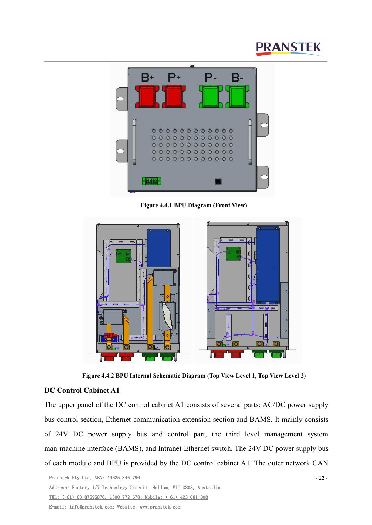

**Figure 4.4.1 BPU Diagram (Front View)**



**Figure 4.4.2 BPU Internal Schematic Diagram (Top View Level 1, Top View Level 2)**

#### **DC Control Cabinet A1**

The upper panel of the DC control cabinet A1 consists of several parts: AC/DC power supply bus control section, Ethernet communication extension section and BAMS. It mainly consists of 24V DC power supply bus and control part, the third level management system man-machine interface (BAMS), and Intranet-Ethernet switch. The 24V DC power supply bus of each module and BPU is provided by the DC control cabinet A1. The outer network CAN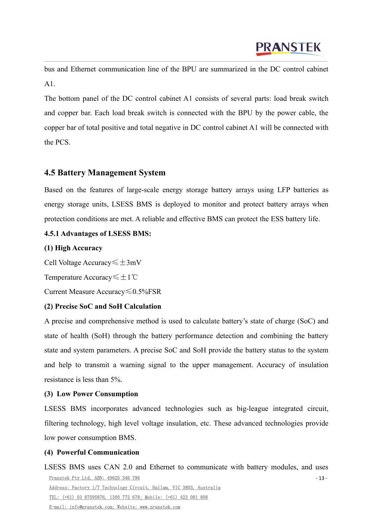bus and Ethernet communication line of the BPU are summarized in the DC control cabinet A1.

The bottom panel of the DC control cabinet A1 consists of several parts: load break switch and copper bar. Each load break switch is connected with the BPU by the power cable, the copper bar of total positive and total negative in DC control cabinet A1 will be connected with the PCS.

# <span id="page-15-0"></span>**4.5 Battery Management System**

Based on the features of large-scale energy storage battery arrays using LFP batteries as energy storage units, LSESS BMS is deployed to monitor and protect battery arrays when protection conditions are met. A reliable and effective BMS can protect the ESS battery life.

### <span id="page-15-1"></span>**4.5.1 Advantages ofLSESS BMS:**

### **(1) High Accuracy**

Cell Voltage Accuracy≤±3mV

Temperature Accuracy≤±1℃

Current Measure Accuracy≤0.5%FSR

### **(2) Precise SoC and SoH Calculation**

A precise and comprehensive method is used to calculate battery's state of charge (SoC) and state of health (SoH) through the battery performance detection and combining the battery state and system parameters. A precise SoC and SoH provide the battery status to the system and help to transmit a warning signal to the upper management. Accuracy of insulation resistance is less than 5%.

### **(3) Low Power Consumption**

LSESS BMS incorporates advanced technologies such as big-league integrated circuit, filtering technology, high level voltage insulation, etc. These advanced technologies provide low power consumption BMS.

### **(4) Powerful Communication**

Pranstek Pty Ltd, ABN: 49625 346 796 Address: Factory 1/7 Technology Circuit, Hallam, VIC 3803, Australia TEL: (+61) 03 87595876, 1300 772 678; Mobile: (+61) 423 081 808 E-mail: info@pranstek.com; Website: www.pranstek.com - 13 - LSESS BMS uses CAN 2.0 and Ethernet to communicate with battery modules, and uses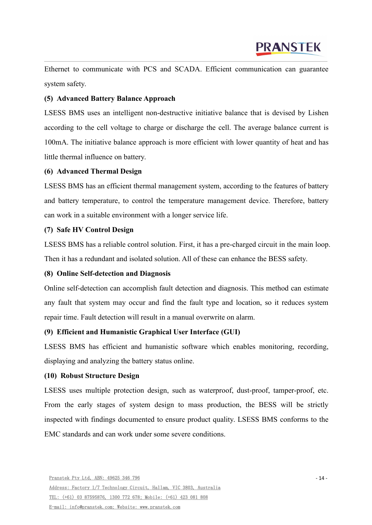Ethernet to communicate with PCS and SCADA. Efficient communication can guarantee system safety.

### **(5) Advanced Battery Balance Approach**

LSESS BMS uses an intelligent non-destructive initiative balance that is devised by Lishen according to the cell voltage to charge or discharge the cell.The average balance current is 100mA. The initiative balance approach is more efficient with lower quantity of heat and has little thermal influence on battery.

### **(6) Advanced Thermal Design**

LSESS BMS has an efficient thermal management system, according to the features of battery and battery temperature, to control the temperature management device. Therefore, battery can work in a suitable environment with a longer service life.

### **(7) Safe HV Control Design**

LSESS BMS has a reliable control solution. First, it has a pre-charged circuit in the main loop. Then it has a redundant and isolated solution. All of these can enhance the BESS safety.

### **(8) Online Self-detection and Diagnosis**

Online self-detection can accomplish fault detection and diagnosis. This method can estimate any fault that system may occur and find the fault type and location, so it reduces system repair time. Fault detection will result in a manual overwrite on alarm.

### **(9) Efficient and Humanistic Graphical User Interface (GUI)**

LSESS BMS has efficient and humanistic software which enables monitoring, recording, displaying and analyzing the battery status online.

### **(10) Robust Structure Design**

LSESS uses multiple protection design, such as waterproof, dust-proof, tamper-proof, etc. From the early stages of system design to mass production, the BESS will be strictly inspected with findings documented to ensure product quality. LSESS BMS conforms to the EMC standards and can work under some severe conditions.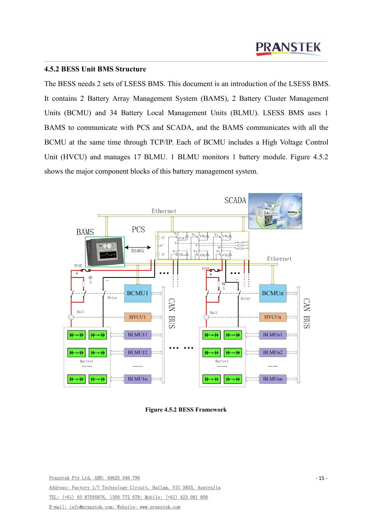#### <span id="page-17-0"></span>**4.5.2 BESS Unit BMS Structure**

The BESS needs 2 sets of LSESS BMS. This document is an introduction of the LSESS BMS. It contains 2 Battery Array Management System (BAMS), 2 Battery Cluster Management Units (BCMU) and 34 Battery Local Management Units (BLMU). LSESS BMS uses 1 BAMS to communicate with PCS and SCADA, and the BAMS communicates with all the BCMU at the same time through TCP/IP. Each of BCMU includes a High Voltage Control Unit (HVCU) and manages 17 BLMU. 1 BLMU monitors 1 battery module. Figure 4.5.2 shows the major component blocks of this battery management system.



**Figure 4.5.2 BESS Framework**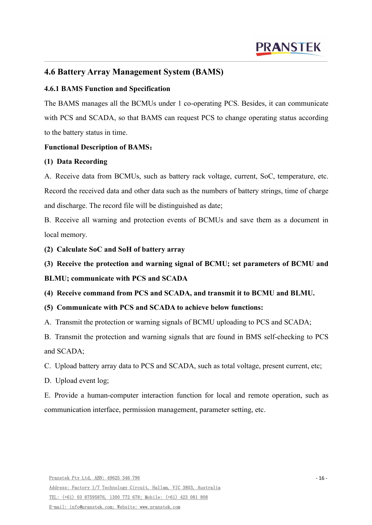# <span id="page-18-0"></span>**4.6 Battery Array Management System (BAMS)**

### <span id="page-18-1"></span>**4.6.1 BAMS Function and Specification**

The BAMS manages all the BCMUs under 1 co-operating PCS. Besides, it can communicate with PCS and SCADA, so that BAMS can request PCS to change operating status according to the battery status in time.

### **Functional Description of BAMS**:

### **(1) Data Recording**

A. Receive data from BCMUs, such as battery rack voltage, current, SoC, temperature, etc. Record the received data and other data such as the numbers of battery strings, time of charge and discharge. The record file will be distinguished as date;

B. Receive all warning and protection events of BCMUs and save them as a document in local memory.

**(2) Calculate SoC and SoH of battery array**

# **(3) Receive the protection and warning signal of BCMU; set parameters of BCMU and**

### **BLMU; communicate with PCS and SCADA**

**(4) Receive command from PCS and SCADA,and transmit it to BCMU and BLMU.**

### **(5) Communicate with PCS and SCADA to achieve below functions:**

A. Transmit the protection or warning signals of BCMU uploading to PCS and SCADA;

B. Transmit the protection and warning signals that are found in BMS self-checking to PCS and SCADA;

C. Upload battery array data to PCS and SCADA, such as total voltage, present current, etc;

D. Upload event log;

E. Provide a human-computer interaction function for local and remote operation, such as communication interface, permission management, parameter setting, etc.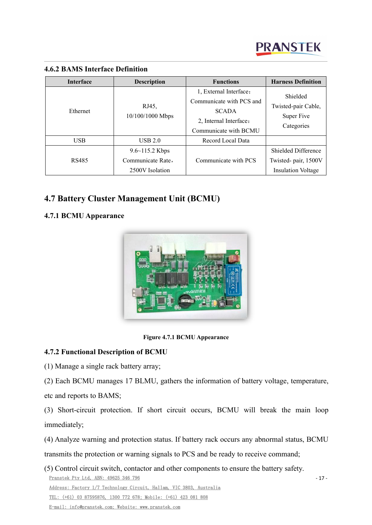

- 17 -

| Interface  | <b>Description</b>        | <b>Functions</b>                                                                                                      | <b>Harness Definition</b><br>Shielded<br>Twisted-pair Cable,<br>Super Five<br>Categories |  |
|------------|---------------------------|-----------------------------------------------------------------------------------------------------------------------|------------------------------------------------------------------------------------------|--|
| Ethernet   | RJ45,<br>10/100/1000 Mbps | 1, External Interface:<br>Communicate with PCS and<br><b>SCADA</b><br>2, Internal Interface:<br>Communicate with BCMU |                                                                                          |  |
| <b>USB</b> | USB 2.0                   | Record Local Data                                                                                                     |                                                                                          |  |
|            | $9.6 \sim 115.2$ Kbps     |                                                                                                                       | Shielded Difference                                                                      |  |
| RS485      | Communicate Rate,         | Communicate with PCS                                                                                                  | Twisted- pair, 1500V                                                                     |  |
|            | 2500V Isolation           |                                                                                                                       | <b>Insulation Voltage</b>                                                                |  |

### <span id="page-19-0"></span>**4.6.2 BAMS Interface Definition**

# <span id="page-19-1"></span>**4.7 Battery Cluster Management Unit (BCMU)**

# <span id="page-19-2"></span>**4.7.1 BCMU Appearance**



**Figure 4.7.1 BCMU Appearance**

# <span id="page-19-3"></span>**4.7.2 Functional Description of BCMU**

(1) Manage a single rack battery array;

(2) Each BCMU manages 17 BLMU, gathers the information of battery voltage, temperature,

etc and reports to BAMS;

(3) Short-circuit protection. If short circuit occurs, BCMU will break the main loop immediately;

(4) Analyze warning and protection status. If battery rack occurs any abnormal status, BCMU

transmits the protection or warning signals to PCS and be ready to receive command;

Pranstek Pty Ltd, ABN: 49625 346 796 Address: Factory 1/7 Technology Circuit, Hallam, VIC 3803, Australia TEL: (+61) 03 87595876, 1300 772 678; Mobile: (+61) 423 081 808 E-mail: info@pranstek.com; Website: www.pranstek.com (5) Control circuit switch, contactor and other components to ensure the battery safety.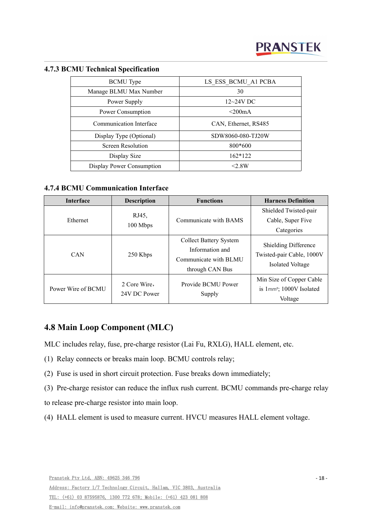| <b>BCMU</b> Type          | LS ESS BCMU A1 PCBA  |
|---------------------------|----------------------|
| Manage BLMU Max Number    | 30                   |
| Power Supply              | $12\text{-}24V$ DC   |
| Power Consumption         | $\leq$ 200mA         |
| Communication Interface   | CAN, Ethernet, RS485 |
| Display Type (Optional)   | SDW8060-080-TJ20W    |
| Screen Resolution         | 800*600              |
| Display Size              | $162*122$            |
| Display Power Consumption | <2.8W                |
|                           |                      |

### <span id="page-20-0"></span>**4.7.3 BCMU Technical Specification**

### <span id="page-20-1"></span>**4.7.4 BCMU Communication Interface**

| <b>Interface</b>   | <b>Description</b>           | <b>Functions</b>                                                                             | <b>Harness Definition</b>                                                    |  |
|--------------------|------------------------------|----------------------------------------------------------------------------------------------|------------------------------------------------------------------------------|--|
|                    | RJ45,                        |                                                                                              | Shielded Twisted-pair                                                        |  |
| Ethernet           |                              | Communicate with BAMS                                                                        | Cable, Super Five                                                            |  |
|                    | $100$ Mbps                   |                                                                                              | Categories                                                                   |  |
| <b>CAN</b>         | 250 Kbps                     | <b>Collect Battery System</b><br>Information and<br>Communicate with BLMU<br>through CAN Bus | <b>Shielding Difference</b><br>Twisted-pair Cable, 1000V<br>Isolated Voltage |  |
| Power Wire of BCMU | 2 Core Wire,<br>24V DC Power | Provide BCMU Power<br>Supply                                                                 | Min Size of Copper Cable<br>is 1mm <sup>2</sup> ; 1000V Isolated<br>Voltage  |  |

# <span id="page-20-2"></span>**4.8 Main Loop Component (MLC)**

MLC includes relay, fuse, pre-charge resistor (Lai Fu, RXLG), HALL element, etc.

- (1) Relay connects or breaks main loop. BCMU controls relay;
- (2) Fuse is used in short circuit protection. Fuse breaks down immediately;
- (3) Pre-charge resistor can reduce the influx rush current. BCMU commands pre-charge relay

to release pre-charge resistor into main loop.

(4) HALL element is used to measure current. HVCU measures HALL element voltage.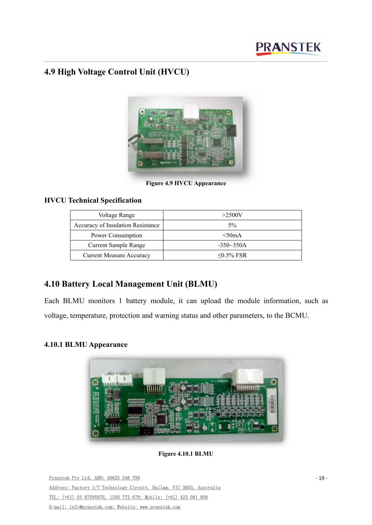# <span id="page-21-0"></span>**4.9 High Voltage Control Unit (HVCU)**



**Figure 4.9 HVCU Appearance**

# **HVCU Technical Specification**

| Voltage Range                     | >2500V           |
|-----------------------------------|------------------|
| Accuracy of Insulation Resistance | $5\%$            |
| Power Consumption                 | $<$ 50mA         |
| <b>Current Sample Range</b>       | $-350-350A$      |
| <b>Current Measure Accuracy</b>   | $\leq 0.5\%$ FSR |

# <span id="page-21-1"></span>**4.10 Battery Local Management Unit (BLMU)**

Each BLMU monitors 1 battery module, it can upload the module information, such as voltage, temperature, protection and warning status and other parameters, to the BCMU.

# <span id="page-21-2"></span>**4.10.1 BLMU Appearance**



**Figure 4.10.1 BLMU**

Pranstek Pty Ltd, ABN: 49625 346 796 Address: Factory 1/7 Technology Circuit, Hallam, VIC 3803, Australia TEL: (+61) 03 87595876, 1300 772 678; Mobile: (+61) 423 081 808 E-mail: info@pranstek.com; Website: www.pranstek.com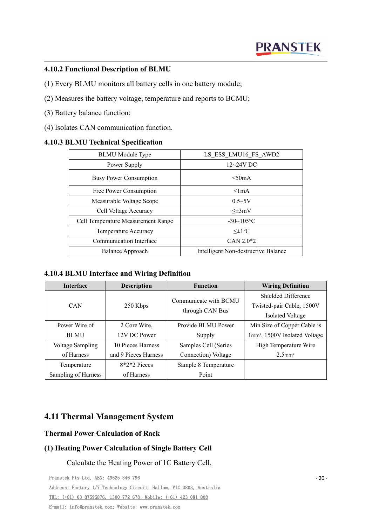### <span id="page-22-0"></span>**4.10.2 Functional Description of BLMU**

- (1) Every BLMU monitors all battery cells in one battery module;
- (2) Measures the battery voltage, temperature and reports to BCMU;
- (3) Battery balance function;
- (4) Isolates CAN communication function.

### <span id="page-22-1"></span>**4.10.3 BLMU Technical Specification**

| <b>BLMU</b> Module Type            | LS ESS LMU16 FS AWD2                |
|------------------------------------|-------------------------------------|
| Power Supply                       | $12\sim24V$ DC                      |
| <b>Busy Power Consumption</b>      | < 50mA                              |
| Free Power Consumption             | $\leq$ lmA                          |
| Measurable Voltage Scope           | $0.5 - 5V$                          |
| Cell Voltage Accuracy              | $\leq \pm 3mV$                      |
| Cell Temperature Measurement Range | $-30 \sim 105$ °C                   |
| Temperature Accuracy               | $\leq \pm 1$ °C                     |
| Communication Interface            | $CAN 2.0*2$                         |
| Balance Approach                   | Intelligent Non-destructive Balance |

<span id="page-22-2"></span>**4.10.4 BLMU Interface and Wiring Definition**

| <b>Interface</b>    | <b>Description</b>   | <b>Function</b>       | <b>Wiring Definition</b>                  |  |
|---------------------|----------------------|-----------------------|-------------------------------------------|--|
|                     |                      | Communicate with BCMU | Shielded Difference                       |  |
| <b>CAN</b>          | 250 Kbps             | through CAN Bus       | Twisted-pair Cable, 1500V                 |  |
|                     |                      |                       | Isolated Voltage                          |  |
| Power Wire of       | 2 Core Wire,         | Provide BLMU Power    | Min Size of Copper Cable is               |  |
| <b>BLMU</b>         | 12V DC Power         | Supply                | 1mm <sup>2</sup> , 1500V Isolated Voltage |  |
| Voltage Sampling    | 10 Pieces Harness    | Samples Cell (Series  | High Temperature Wire                     |  |
| of Harness          | and 9 Pieces Harness | Connection) Voltage   | $2.5$ mm <sup>2</sup>                     |  |
| Temperature         | $8*2*2$ Pieces       | Sample 8 Temperature  |                                           |  |
| Sampling of Harness | of Harness           | Point                 |                                           |  |

# <span id="page-22-3"></span>**4.11 Thermal Management System**

### **Thermal Power Calculation of Rack**

### **(1) Heating Power Calculation of Single Battery Cell**

Calculate the Heating Power of 1C Battery Cell,

Pranstek Pty Ltd, ABN: 49625 346 796 Address: Factory 1/7 Technology Circuit, Hallam, VIC 3803, Australia TEL: (+61) 03 87595876, 1300 772 678; Mobile: (+61) 423 081 808 E-mail: info@pranstek.com; Website: www.pranstek.com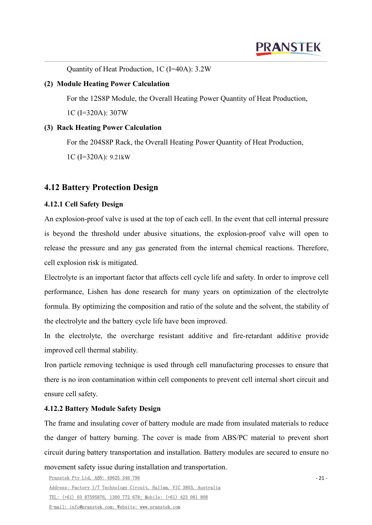Quantity of Heat Production, 1C (I=40A): 3.2W

#### **(2) Module Heating Power Calculation**

For the 12S8P Module, the Overall Heating Power Quantity of Heat Production, 1C (I=320A): 307W

#### **(3) Rack Heating Power Calculation**

For the 204S8P Rack, the Overall Heating Power Quantity of Heat Production,

1C (I=320A): 9.21kW

# <span id="page-23-0"></span>**4.12 Battery Protection Design**

### <span id="page-23-1"></span>**4.12.1 Cell Safety Design**

An explosion-proof valve is used at the top of each cell. In the event that cell internal pressure is beyond the threshold under abusive situations, the explosion-proof valve will open to release the pressure and any gas generated from the internal chemical reactions. Therefore, cell explosion risk is mitigated.

Electrolyte is an important factor that affects cell cycle life and safety. In order to improve cell performance, Lishen has done research for many years on optimization of the electrolyte formula. By optimizing the composition and ratio of the solute and the solvent, the stability of the electrolyte and the battery cycle life have been improved.

In the electrolyte, the overcharge resistant additive and fire-retardant additive provide improved cell thermal stability.

Iron particle removing technique is used through cell manufacturing processes to ensure that there is no iron contamination within cell components to prevent cell internal short circuit and ensure cell safety.

### <span id="page-23-2"></span>**4.12.2 Battery Module Safety Design**

The frame and insulating cover of battery module are made from insulated materials to reduce the danger of battery burning. The cover is made from ABS/PC material to prevent short circuit during battery transportation and installation. Battery modules are secured to ensure no movement safety issue during installation and transportation.

Pranstek Pty Ltd, ABN: 49625 346 796 Address: Factory 1/7 Technology Circuit, Hallam, VIC 3803, Australia TEL: (+61) 03 87595876, 1300 772 678; Mobile: (+61) 423 081 808 E-mail: info@pranstek.com; Website: www.pranstek.com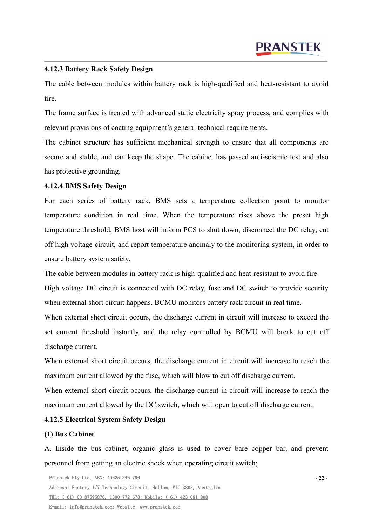#### <span id="page-24-0"></span>**4.12.3 Battery Rack Safety Design**

The cable between modules within battery rack is high-qualified and heat-resistant to avoid fire.

The frame surface is treated with advanced static electricity spray process, and complies with relevant provisions of coating equipment's general technical requirements.

The cabinet structure has sufficient mechanical strength to ensure that all components are secure and stable, and can keep the shape. The cabinet has passed anti-seismic test and also has protective grounding.

#### <span id="page-24-1"></span>**4.12.4 BMS Safety Design**

For each series of battery rack, BMS sets a temperature collection point to monitor temperature condition in real time.When the temperature rises above the preset high temperature threshold, BMS host will inform PCS to shut down, disconnect the DC relay, cut off high voltage circuit, and report temperature anomaly to the monitoring system, in order to ensure battery system safety.

The cable between modules in battery rack is high-qualified and heat-resistant to avoid fire.

High voltage DC circuit is connected with DC relay, fuse and DC switch to provide security when external short circuit happens. BCMU monitors battery rack circuit in real time.

When external short circuit occurs, the discharge current in circuit will increase to exceed the set current threshold instantly, and the relay controlled by BCMU will break to cut off discharge current.

When external short circuit occurs, the discharge current in circuit will increase to reach the maximum current allowed by the fuse, which will blow to cut off discharge current.

When external short circuit occurs, the discharge current in circuit will increase to reach the maximum current allowed by the DC switch, which will open to cut off discharge current.

### <span id="page-24-2"></span>**4.12.5 Electrical System Safety Design**

#### **(1) Bus Cabinet**

A. Inside the bus cabinet, organic glass is used to cover bare copper bar, and prevent personnel from getting an electric shock when operating circuit switch;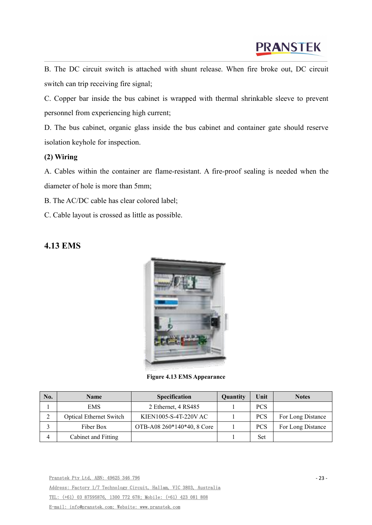B. The DC circuit switch is attached with shunt release. When fire broke out, DC circuit switch can trip receiving fire signal;

C. Copper bar inside the bus cabinet is wrapped with thermal shrinkable sleeve to prevent personnel from experiencing high current;

D. The bus cabinet, organic glass inside the bus cabinet and container gate should reserve isolation keyhole for inspection.

### **(2) Wiring**

A. Cables within the container are flame-resistant. A fire-proof sealing is needed when the diameter of hole is more than 5mm;

B. The AC/DC cable has clear colored label;

C. Cable layout is crossed as little as possible.

# <span id="page-25-0"></span>**4.13 EMS**



**Figure 4.13 EMS Appearance**

| No. | <b>Name</b>                    | Specification              | <b>Quantity</b> | Unit       | <b>Notes</b>      |
|-----|--------------------------------|----------------------------|-----------------|------------|-------------------|
|     | <b>EMS</b>                     | 2 Ethernet, 4 RS485        |                 | <b>PCS</b> |                   |
| ∠   | <b>Optical Ethernet Switch</b> | KIEN1005-S-4T-220V AC      |                 | <b>PCS</b> | For Long Distance |
|     | Fiber Box                      | OTB-A08 260*140*40, 8 Core |                 | <b>PCS</b> | For Long Distance |
| 4   | Cabinet and Fitting            |                            |                 | Set        |                   |

Pranstek Pty Ltd, ABN: 49625 346 796 Address: Factory 1/7 Technology Circuit, Hallam, VIC 3803, Australia TEL: (+61) 03 87595876, 1300 772 678; Mobile: (+61) 423 081 808 E-mail: info@pranstek.com; Website: www.pranstek.com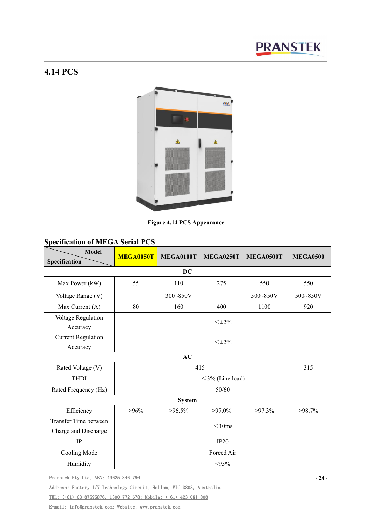# <span id="page-26-0"></span>**4.14 PCS**



**Figure 4.14 PCS Appearance**

# **Specification of MEGA Serial PCS**

| <b>Model</b>                                  | MEGA0050T | MEGA0100T     | <b>MEGA0250T</b>   | MEGA0500T | <b>MEGA0500</b> |  |  |
|-----------------------------------------------|-----------|---------------|--------------------|-----------|-----------------|--|--|
| Specification                                 |           |               |                    |           |                 |  |  |
|                                               |           | <b>DC</b>     |                    |           |                 |  |  |
| Max Power (kW)                                | 55        | 110           | 275                | 550       | 550             |  |  |
| Voltage Range (V)                             |           | 300~850V      |                    | 500~850V  | 500~850V        |  |  |
| Max Current (A)                               | 80        | 160           | 400                | 1100      | 920             |  |  |
| Voltage Regulation<br>Accuracy                |           |               | $<\pm 2\%$         |           |                 |  |  |
| <b>Current Regulation</b><br>Accuracy         |           | $<\pm 2\%$    |                    |           |                 |  |  |
|                                               |           | $\bf AC$      |                    |           |                 |  |  |
| Rated Voltage (V)                             |           | 315<br>415    |                    |           |                 |  |  |
| <b>THDI</b>                                   |           |               | $<$ 3% (Line load) |           |                 |  |  |
| Rated Frequency (Hz)                          |           |               | 50/60              |           |                 |  |  |
|                                               |           | <b>System</b> |                    |           |                 |  |  |
| Efficiency                                    | $>96\%$   | $>96.5\%$     | $>97.0\%$          | $>97.3\%$ | $>98.7\%$       |  |  |
| Transfer Time between<br>Charge and Discharge |           | $<$ 10ms      |                    |           |                 |  |  |
| $\rm IP$                                      |           |               | IP20               |           |                 |  |  |
| Cooling Mode                                  |           |               | Forced Air         |           |                 |  |  |
| Humidity                                      |           |               | $< 95\%$           |           |                 |  |  |

Pranstek Pty Ltd, ABN: 49625 346 796

Address: Factory 1/7 Technology Circuit, Hallam, VIC 3803, Australia

TEL: (+61) 03 87595876, 1300 772 678; Mobile: (+61) 423 081 808

E-mail: info@pranstek.com; Website: www.pranstek.com